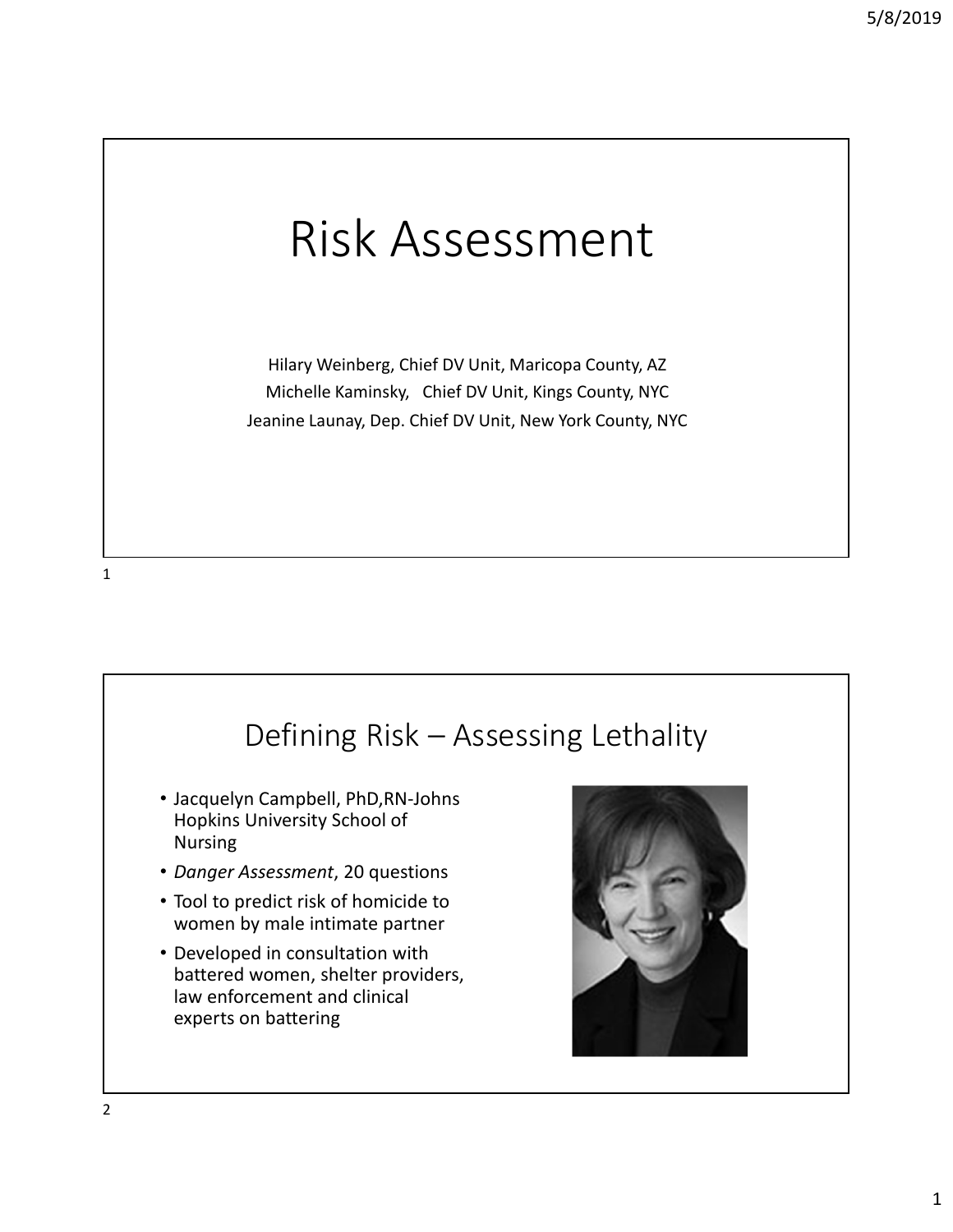# Risk Assessment

Hilary Weinberg, Chief DV Unit, Maricopa County, AZ Michelle Kaminsky, Chief DV Unit, Kings County, NYC Jeanine Launay, Dep. Chief DV Unit, New York County, NYC

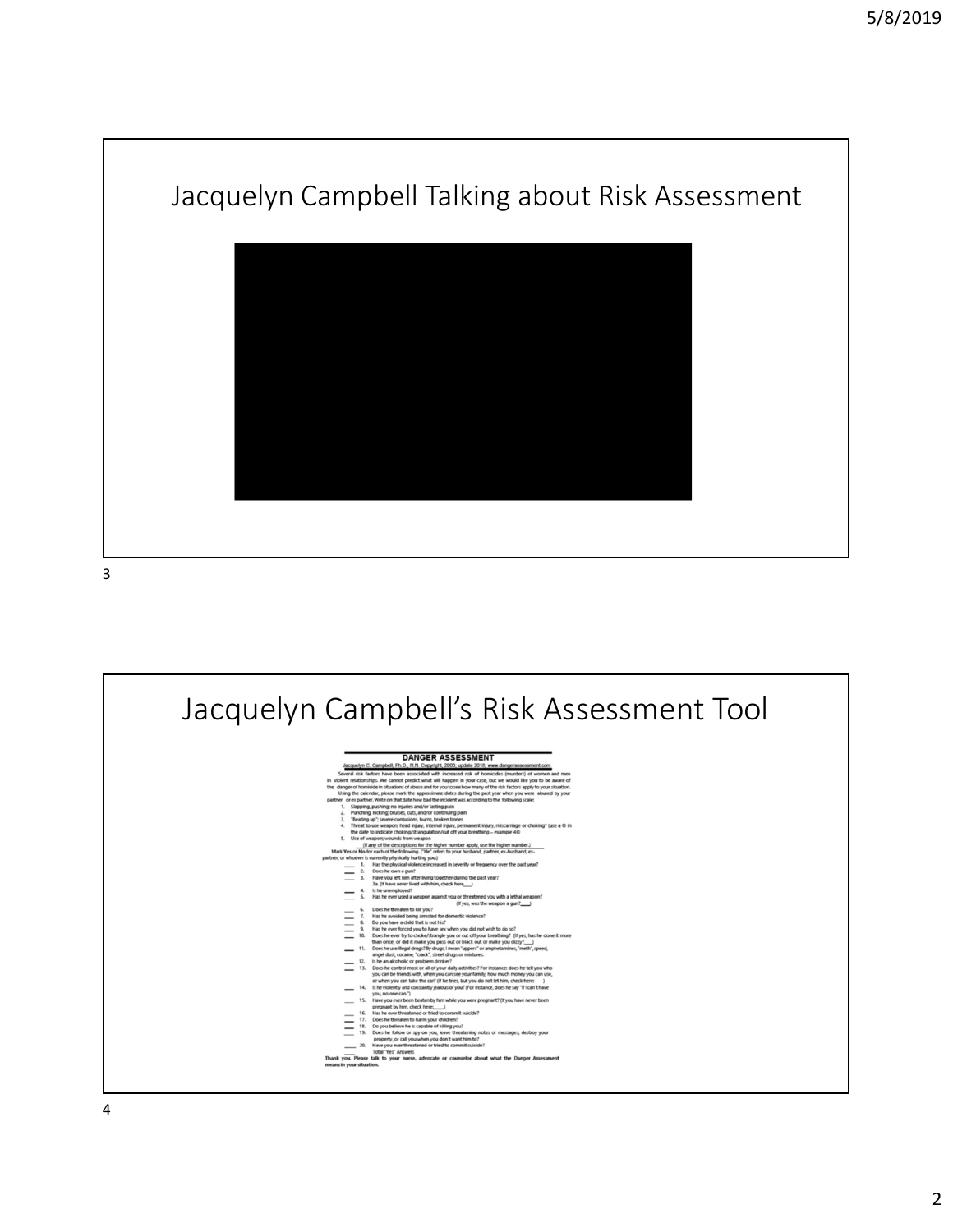

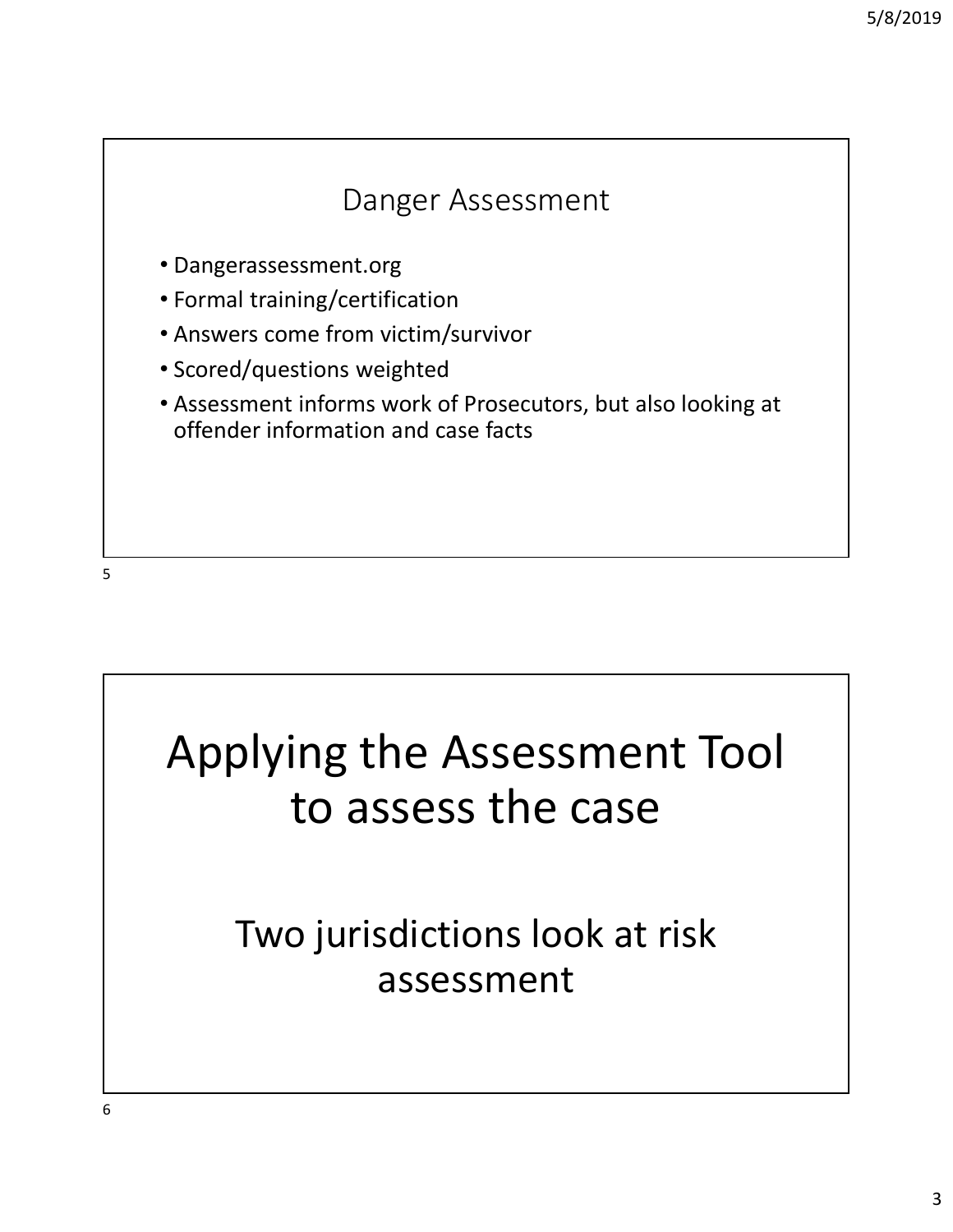

 $5<sub>5</sub>$ 

# Applying the Assessment Tool to assess the case

## Two jurisdictions look at risk assessment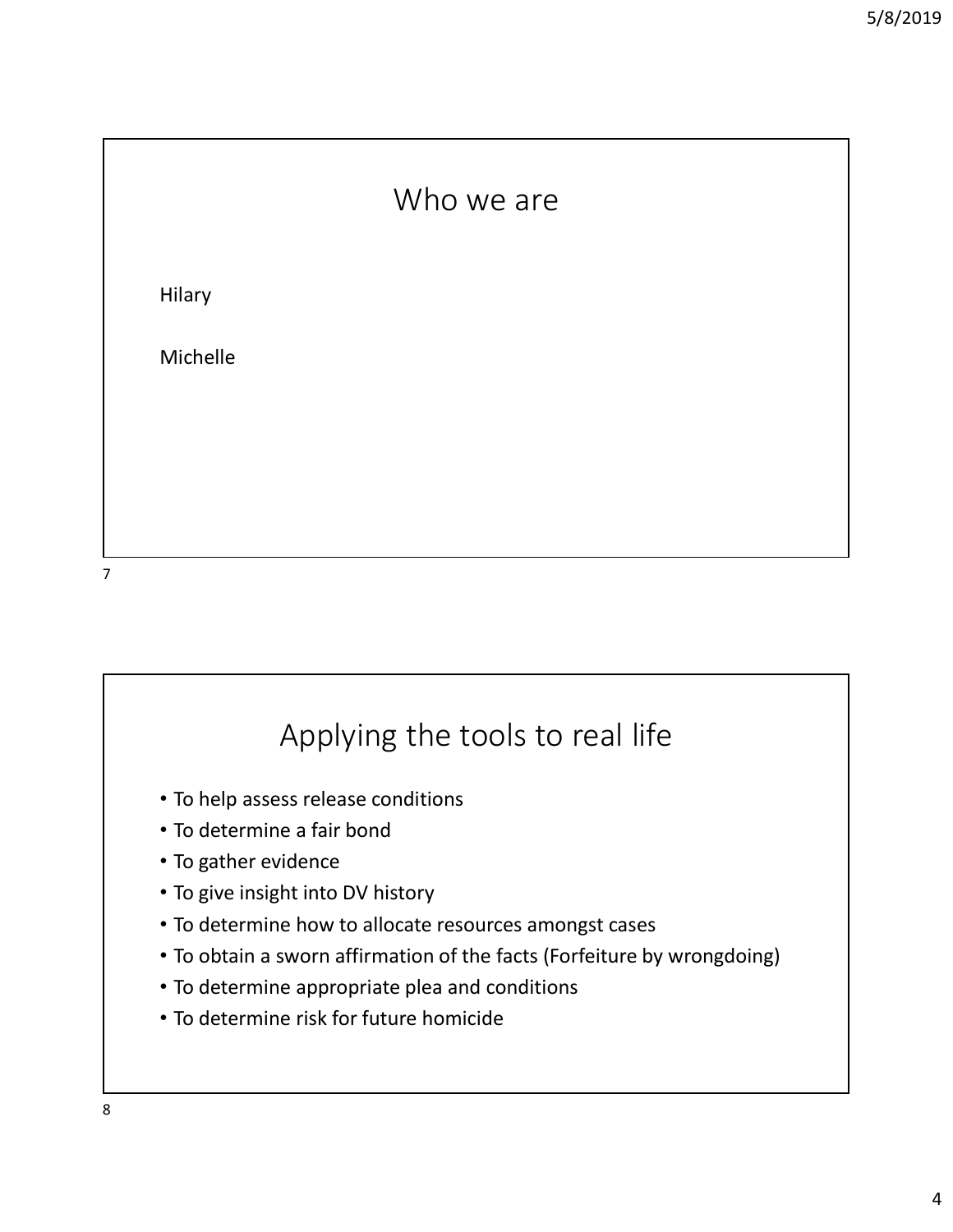



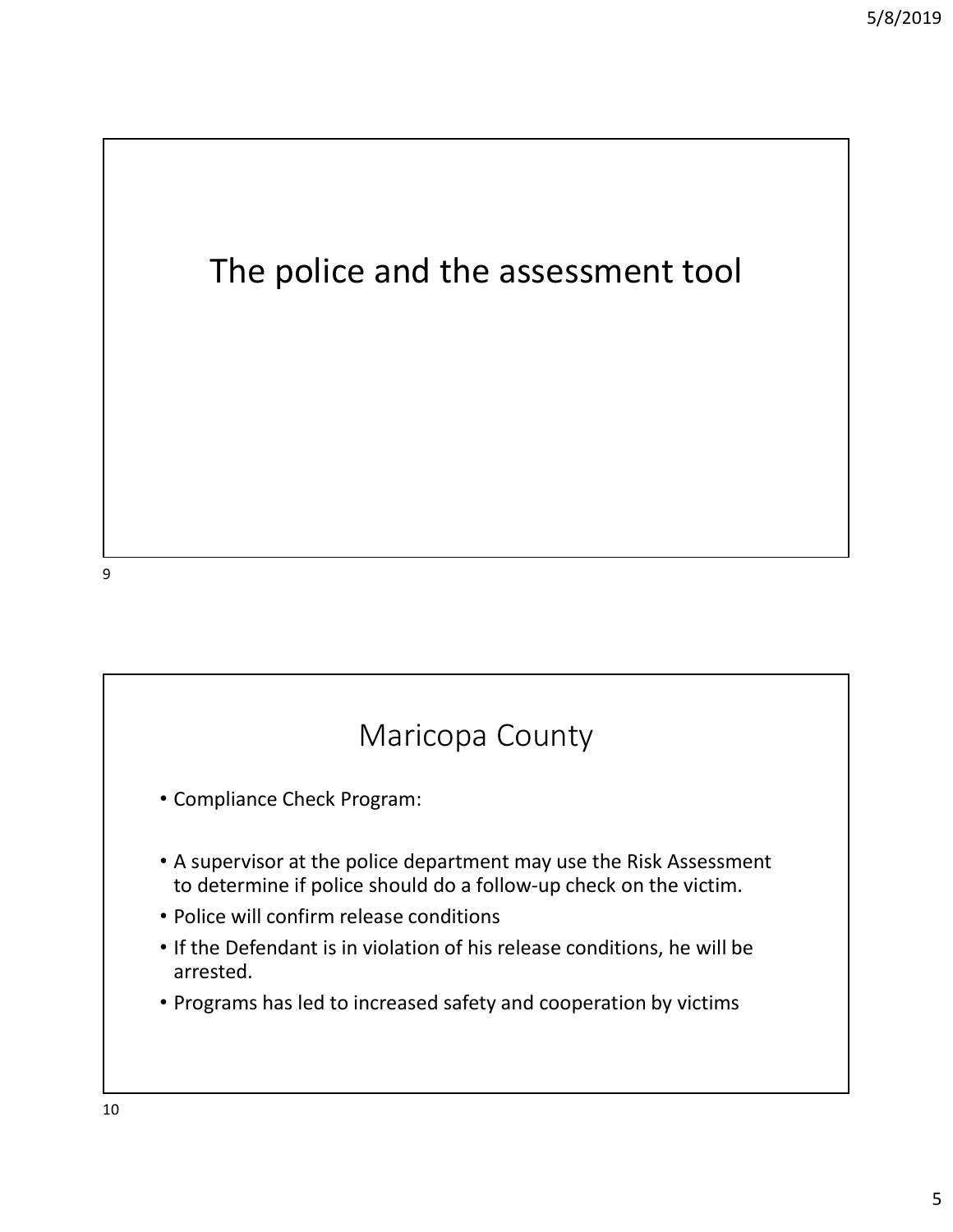#### The police and the assessment tool

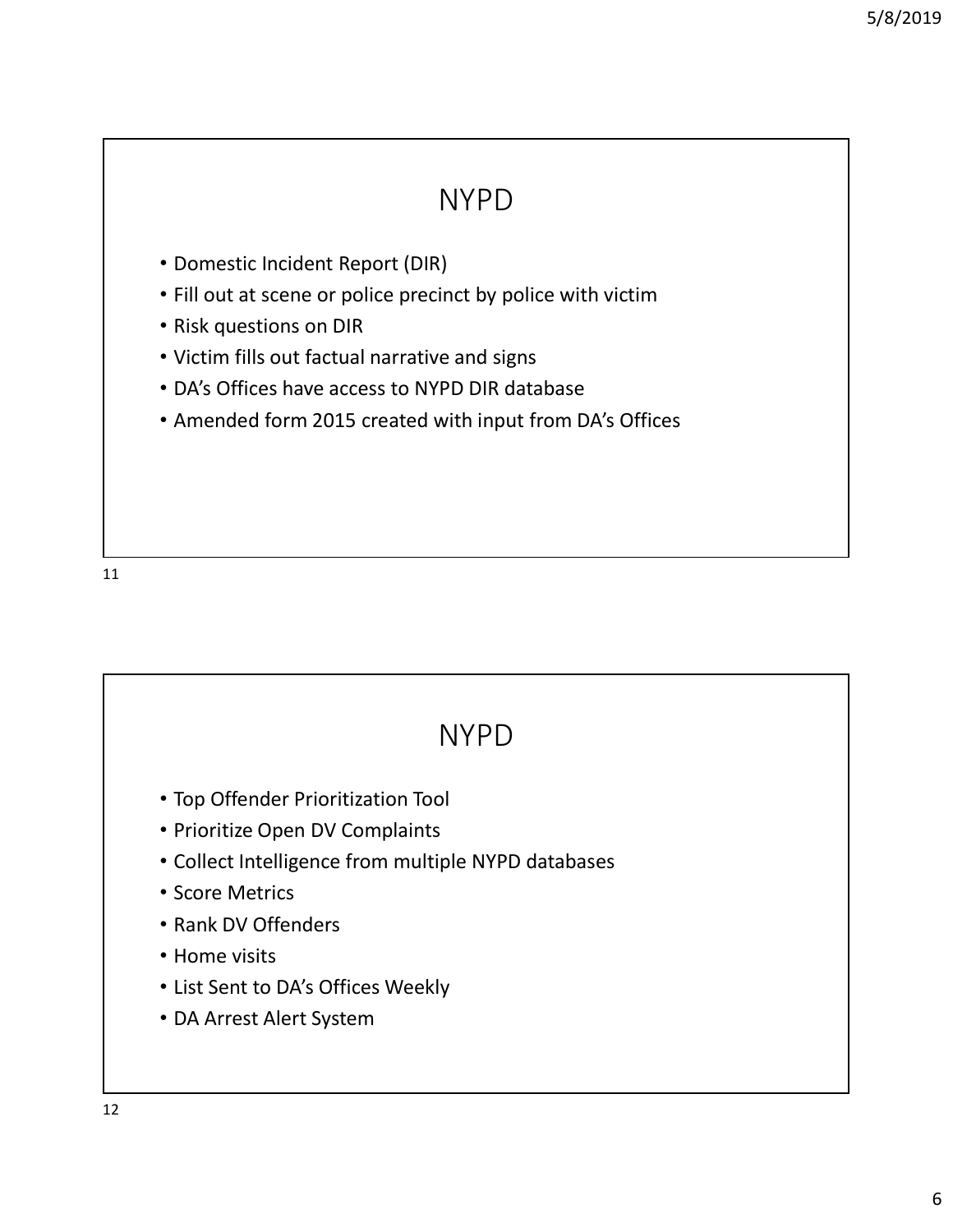#### NYPD

- Domestic Incident Report (DIR)
- Fill out at scene or police precinct by police with victim
- Risk questions on DIR
- Victim fills out factual narrative and signs
- DA's Offices have access to NYPD DIR database
- Amended form 2015 created with input from DA's Offices

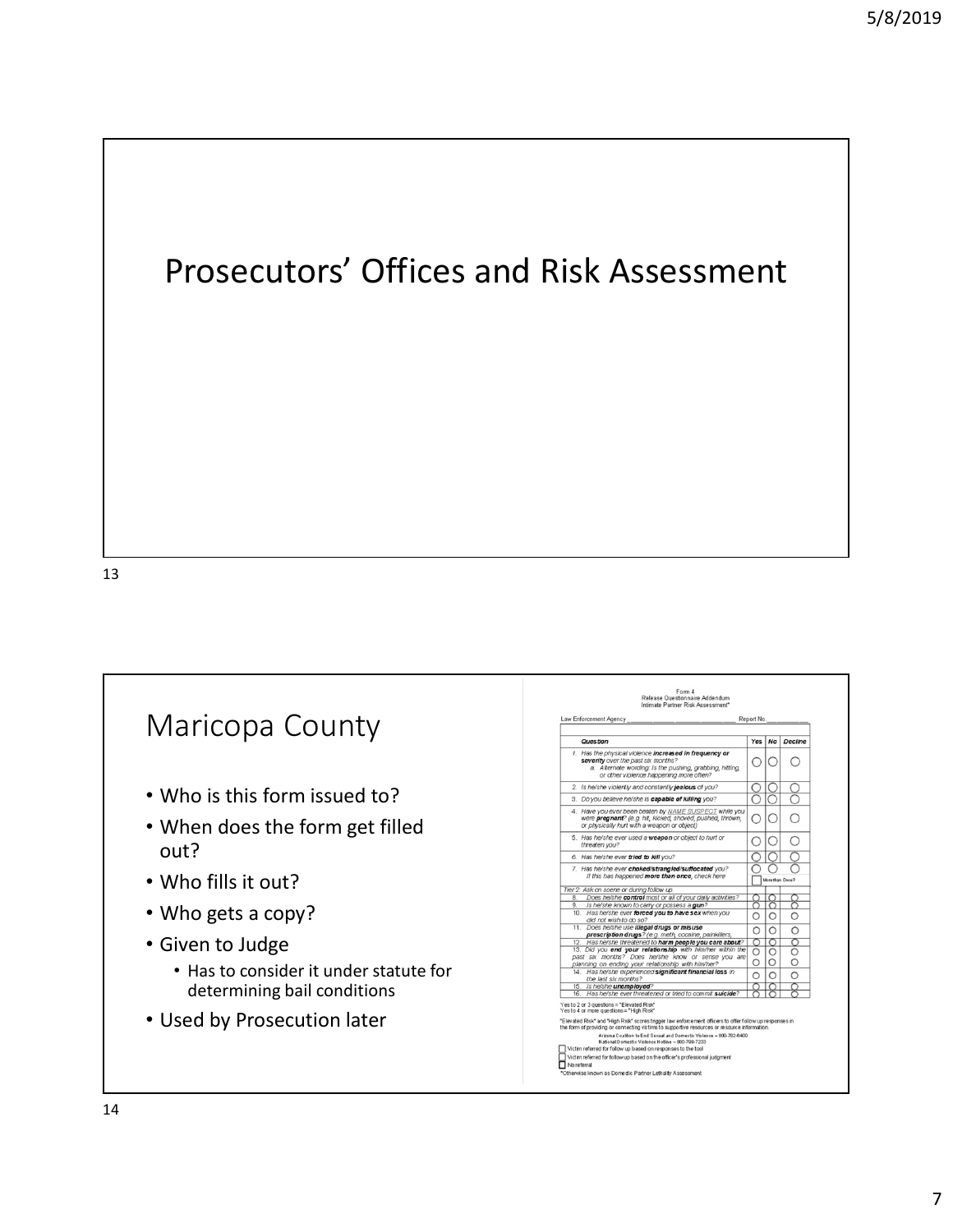### Prosecutors' Offices and Risk Assessment

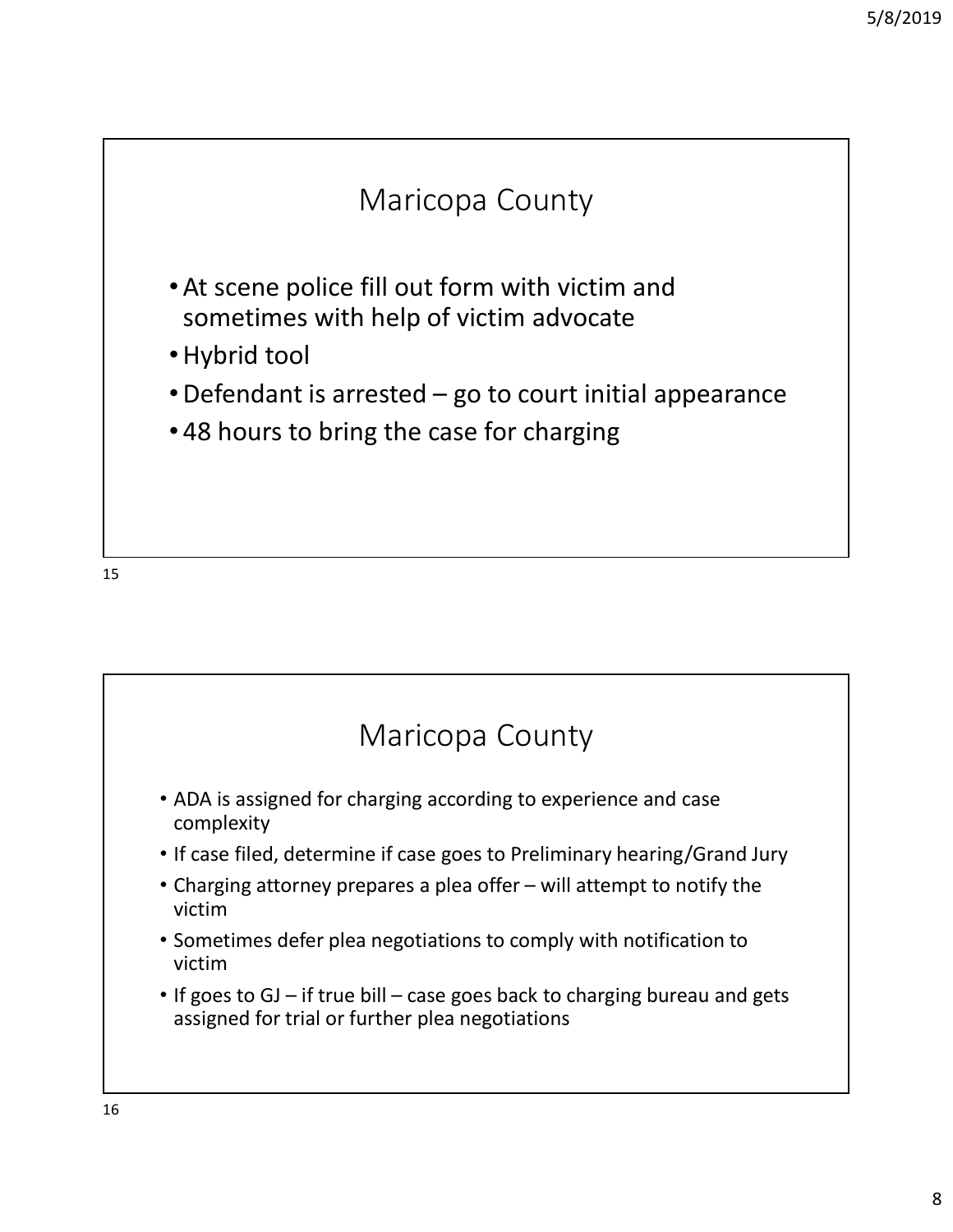

15

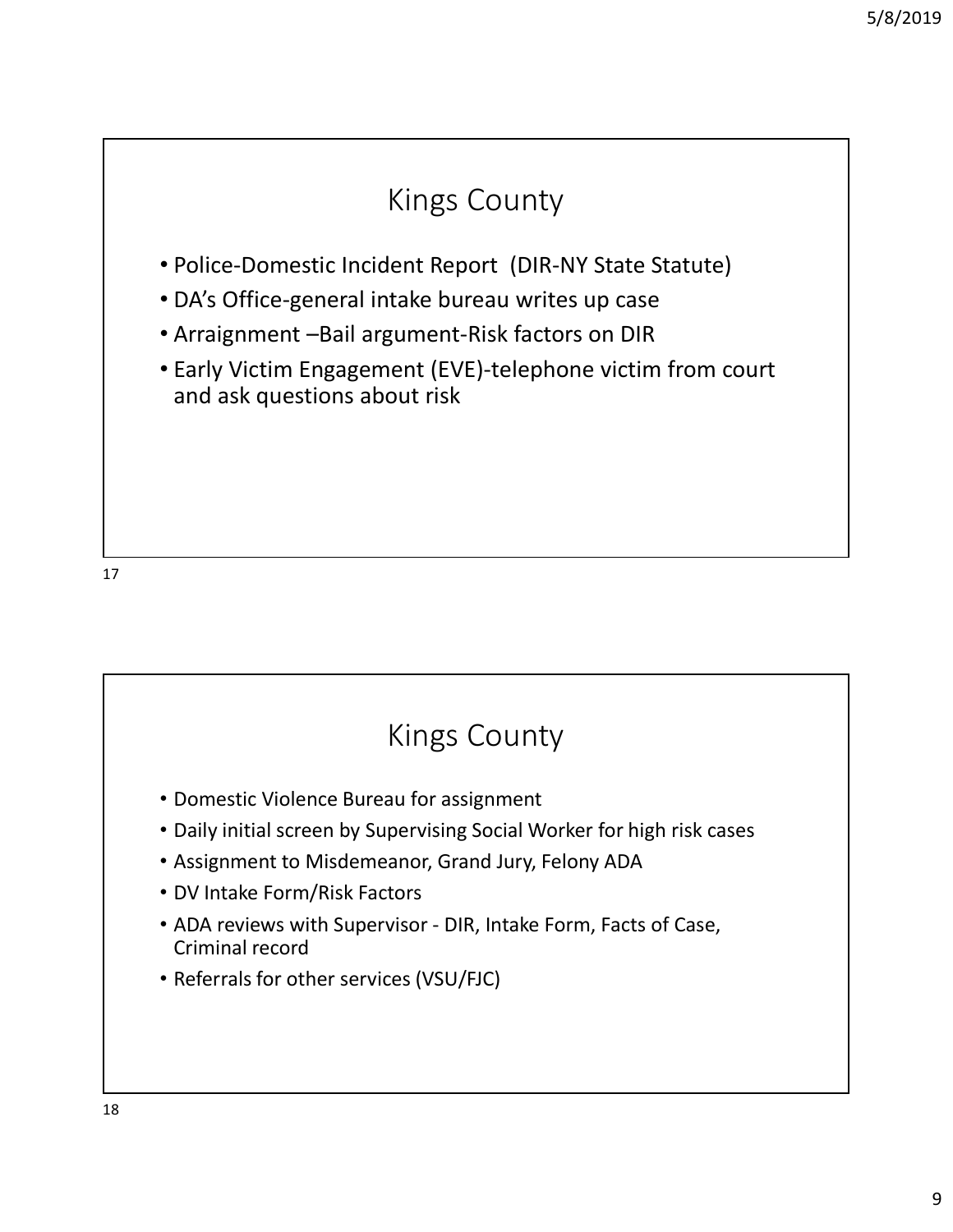#### Kings County

- Police-Domestic Incident Report (DIR-NY State Statute)
- DA's Office-general intake bureau writes up case
- Arraignment –Bail argument-Risk factors on DIR
- Early Victim Engagement (EVE)-telephone victim from court and ask questions about risk

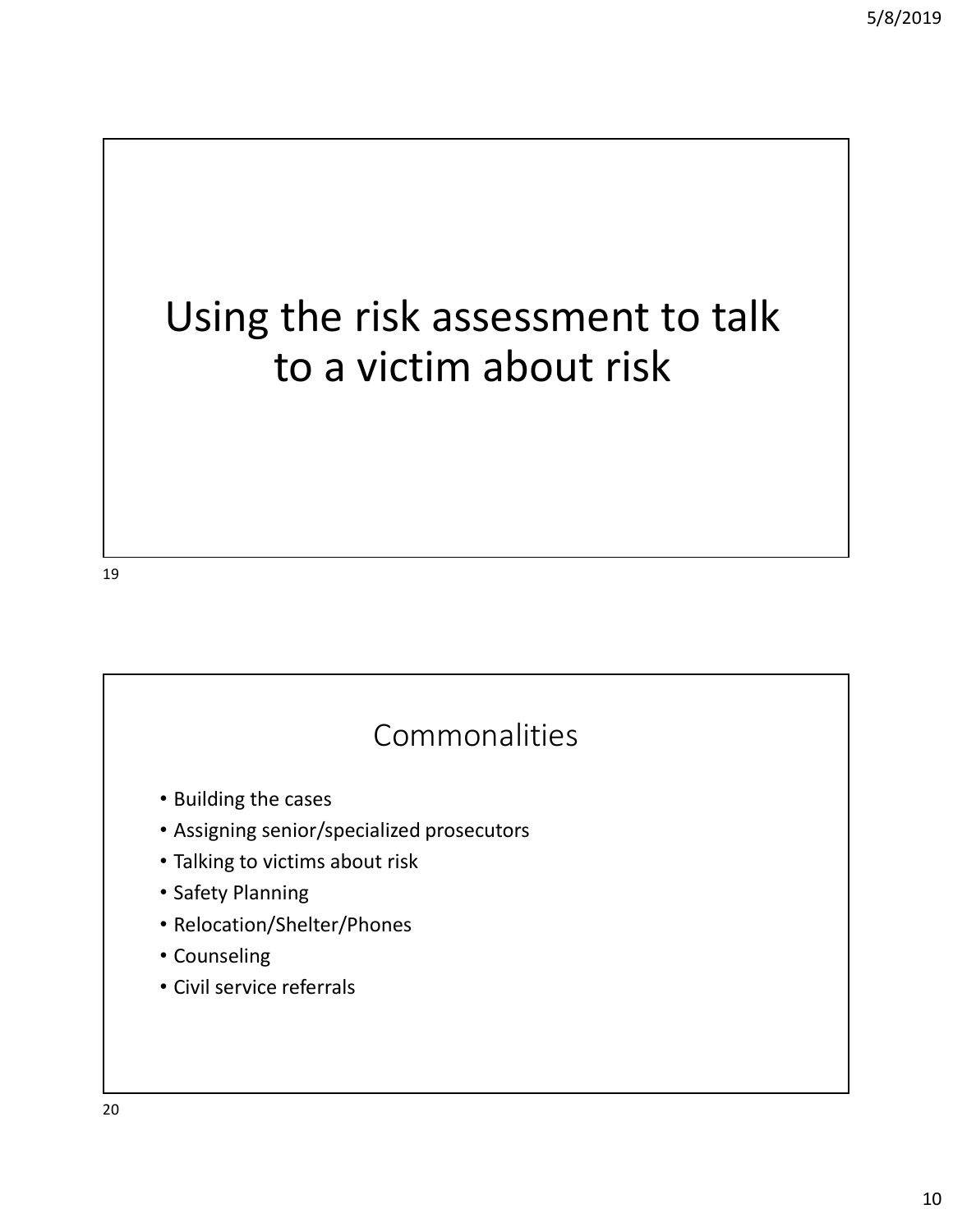# Using the risk assessment to talk to a victim about risk

19

#### Commonalities

- Building the cases
- Assigning senior/specialized prosecutors
- Talking to victims about risk
- Safety Planning
- Relocation/Shelter/Phones
- Counseling
- Civil service referrals